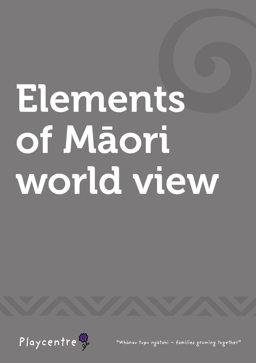# Elements of Māori world view



"Whanau tupu ngatahi - families growing together"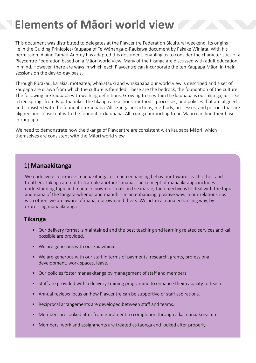# **Elements of Māori world view**

This document was distributed to delegates at the Playcentre Federation Bicultural weekend. Its origins lie in the Guiding Prinicples/Kaupapa of Te Wānanga-o-Raukawa document by Pakake Winiata. With his permission, Alaine Tamati-Aubrey has adapted this document, enabling us to consider the characteristics of a Playcentre Federation based on a Māori world view. Many of the tikanga are discussed with adult education in mind. However, there are ways in which each Playcentre can incorporate the ten Kaupapa Māori in their sessions on the day-to-day basis.

Through Pūrākau, karakia, mōteatea, whakataukī and whakapapa our world view is described and a set of kaupapa are drawn from which the culture is founded. These are the bedrock, the foundation of the culture. The following are kaupapa with working definitions. Growing from within the kaupapa is our tikanga, just like a tree springs from Papatūānuku. The tikanga are actions, methods, processes, and policies that are aligned and consisted with the foundation kaupapa. All tikanga are actions, methods, processes, and policies that are aligned and consistent with the foundation kaupapa. All tikanga purporting to be Māori can find their bases in kaupapa.

We need to demonstrate how the tikanga of Playcentre are consistent with kaupapa Māori, which themselves are consistent with the Māori world view.

# 1) **Manaakitanga**

We endeavour to express manaakitanga, or mana enhancing behaviour towards each other, and to others, taking care not to trample another's mana. The concept of manaakitanga includes understanding tapu and mana. In pōwhiri rituals on the marae, the objective is to deal with the tapu and mana of the tangata-whenua and manuhiri in an enhancing, positive way. In our relationships with others we are aware of mana, our own and theirs. We act in a mana enhancing way, by expressing manaakitanga.

- Our delivery format is maintained and the best teaching and learning related services and kai possible are provided.
- We are generous with our kaiāwhina.
- We are generous with our staff in terms of payments, research, grants, professional development, work spaces, leave.
- Our policies foster manaakitanga by management of staff and members.
- Staff are provided with a delivery-training programme to enhance their capacity to teach.
- Annual reviews focus on how Playcentre can be supportive of staff aspirations.
- Reciprocal arrangements are developed between staff and teams.
- Members are looked after from enrolment to completion through a kaimanaaki system.
- Members' work and assignments are treated as taonga and looked after properly.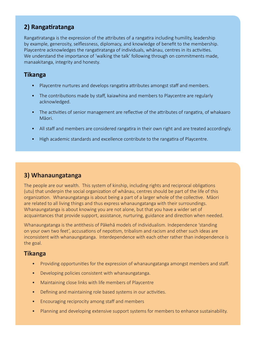# **2) Rangatiratanga**

Rangatiratanga is the expression of the attributes of a rangatira including humility, leadership by example, generosity, selflessness, diplomacy, and knowledge of benefit to the membership. Playcentre acknowledges the rangatiratanga of individuals, whānau, centres in its activities. We understand the importance of 'walking the talk' following through on commitments made, manaakitanga, integrity and honesty.

# **Tikanga**

- Playcentre nurtures and develops rangatira attributes amongst staff and members.
- The contributions made by staff, kaiawhina and members to Playcentre are regularly acknowledged.
- The activities of senior management are reflective of the attributes of rangatira, of whakaaro Māori.
- All staff and members are considered rangatira in their own right and are treated accordingly.
- High academic standards and excellence contribute to the rangatira of Playcentre.

# **3) Whanaungatanga**

The people are our wealth. This system of kinship, including rights and reciprocal obligations (utu) that underpin the social organization of whānau, centres should be part of the life of this organization. Whanaungatanga is about being a part of a larger whole of the collective. Māori are related to all living things and thus express whanaungatanga with their surroundings. Whanaungatanga is about knowing you are not alone, but that you have a wider set of acquaintances that provide support, assistance, nurturing, guidance and direction when needed.

Whanaungatanga is the antithesis of Pākehā models of individualism. Independence 'standing on your own two feet', accusations of nepotism, tribalism and racism and other such ideas are inconsistent with whanaungatanga. Interdependence with each other rather than independence is the goal.

- Providing opportunities for the expression of whanaungatanga amongst members and staff.
- Developing policies consistent with whanaungatanga.
- Maintaining close links with life members of Playcentre
- Defining and maintaining role based systems in our activities.
- Encouraging reciprocity among staff and members
- Planning and developing extensive support systems for members to enhance sustainability.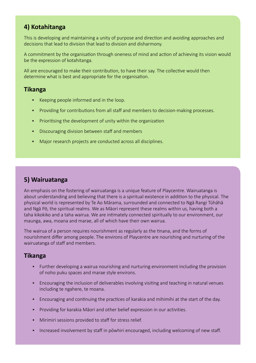# **4) Kotahitanga**

This is developing and maintaining a unity of purpose and direction and avoiding approaches and decisions that lead to division that lead to division and disharmony.

A commitment by the organisation through oneness of mind and action of achieving its vision would be the expression of kotahitanga.

All are encouraged to make their contribution, to have their say. The collective would then determine what is best and appropriate for the organisation.

#### **Tikanga**

- Keeping people informed and in the loop.
- Providing for contributions from all staff and members to decision-making processes.
- Prioritising the development of unity within the organization
- Discouraging division between staff and members
- Major research projects are conducted across all disciplines.

# **5) Wairuatanga**

An emphasis on the fostering of wairuatanga is a unique feature of Playcentre. Wairuatanga is about understanding and believing that there is a spiritual existence in addition to the physical. The physical world is represented by Te Ao Mārama, surrounded and connected to Ngā Rangi Tūhāhā and Ngā Pō, the spiritual realms. We as Māori represent these realms within us, having both a taha kikokiko and a taha wairua. We are intimately connected spiritually to our environment, our maunga, awa, moana and marae, all of which have their own wairua.

The wairua of a person requires nourishment as regularly as the tinana, and the forms of nourishment differ among people. The environs of Playcentre are nourishing and nurturing of the wairuatanga of staff and members.

- Further developing a wairua nourishing and nurturing environment including the provision of noho puku spaces and marae style environs.
- Encouraging the inclusion of deliverables involving visiting and teaching in natural venues including te ngahere, te moana.
- Encouraging and continuing the practices of karakia and mihimihi at the start of the day.
- Providing for karakia Māori and other belief expression in our activities.
- Mirimiri sessions provided to staff for stress relief.
- Increased involvement by staff in pōwhiri encouraged, including welcoming of new staff.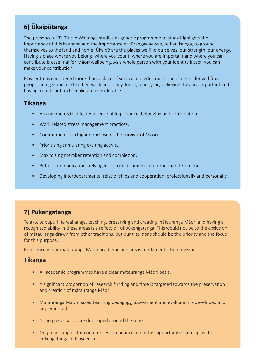# **6) Ūkaipōtanga**

The presence of Te Tiriti o Waitanga studies as generic programme of study highlights the importance of this kaupapa and the importance of tūrangawaewae, te hau kainga, to ground themselves to the land and home. Ūkaipō are the places we find ourselves, our strength, our energy. Having a place where you belong, where you count, where you are important and where you can contribute is essential for Māori wellbeing. As a whole person with your identity intact, you can make your contribution.

Playcentre is considered more than a place of service and education. The benefits derived from people being stimulated in their work and study, feeling energetic, believing they are important and having a contribution to make are considerable.

#### **Tikanga**

- Arrangements that foster a sense of importance, belonging and contribution.
- Work related stress management practices.
- Commitment to a higher purpose of the survival of Māori
- Prioritising stimulating exciting activity.
- Maximising member retention and completion.
- Better communications relying less on email and more on kanohi ki te kanohi.
- Developing interdepartmental relationships and cooperation, professionally and personally.

# **7) Pūkengatanga**

Te ako, te pupuri, te waihanga, teaching, preserving and creating mātauranga Māori and having a recognized ability in these areas is a reflection of pūkengatanga. This would not be to the exclusion of mātauranga drawn from other traditions, but our traditions should be the priority and the focus for this purpose.

Excellence in our mātauranga Māori academic pursuits is fundamental to our vision.

- All academic programmes have a clear mātauranga Māori basis.
- A significant proportion of research funding and time is targeted towards the preservation and creation of mātauranga Māori.
- Mātauranga Māori based teaching pedagogy, assessment and evaluation is developed and implemented.
- Noho puku spaces are developed around the rohe.
- On-going support for conferences attendance and other opportunities to display the pūkengatanga of Playcentre.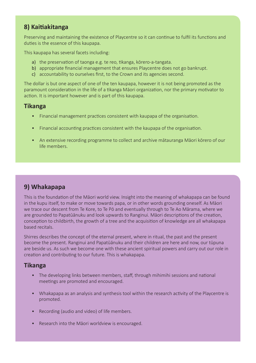# **8) Kaitiakitanga**

Preserving and maintaining the existence of Playcentre so it can continue to fulfil its functions and duties is the essence of this kaupapa.

This kaupapa has several facets including:

- a) the preservation of taonga e.g. te reo, tikanga, kōrero-a-tangata.
- b) appropriate financial management that ensures Playcentre does not go bankrupt.
- c) accountability to ourselves first, to the Crown and its agencies second.

The dollar is but one aspect of one of the ten kaupapa, however it is not being promoted as the paramount consideration in the life of a tikanga Māori organization, nor the primary motivator to action. It is important however and is part of this kaupapa.

#### **Tikanga**

- Financial management practices consistent with kaupapa of the organisation.
- Financial accounting practices consistent with the kaupapa of the organisation.
- An extensive recording programme to collect and archive mātauranga Māori kōrero of our life members.

# **9) Whakapapa**

This is the foundation of the Māori world view. Insight into the meaning of whakapapa can be found in the kupu itself, to make or move towards papa, or in other words grounding oneself. As Māori we trace our descent from Te Kore, to Te Pō and eventually through to Te Ao Mārama, where we are grounded to Papatūānuku and look upwards to Ranginui. Māori descriptions of the creation, conception to childbirth, the growth of a tree and the acquisition of knowledge are all whakapapa based recitals.

Shirres describes the concept of the eternal present, where in ritual, the past and the present become the present. Ranginui and Papatūānuku and their children are here and now, our tūpuna are beside us. As such we become one with these ancient spiritual powers and carry out our role in creation and contributing to our future. This is whakapapa.

- The developing links between members, staff, through mihimihi sessions and national meetings are promoted and encouraged.
- Whakapapa as an analysis and synthesis tool within the research activity of the Playcentre is promoted.
- Recording (audio and video) of life members.
- Research into the Māori worldview is encouraged.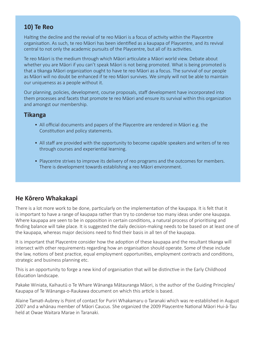# **10) Te Reo**

Halting the decline and the revival of te reo Māori is a focus of activity within the Playcentre organisation. As such, te reo Māori has been identified as a kaupapa of Playcentre, and its revival central to not only the academic pursuits of the Playcentre, but all of its activities.

Te reo Māori is the medium through which Māori articulate a Māori world view. Debate about whether you are Māori if you can't speak Māori is not being promoted. What is being promoted is that a tikanga Māori organization ought to have te reo Māori as a focus. The survival of our people as Māori will no doubt be enhanced if te reo Māori survives. We simply will not be able to maintain our uniqueness as a people without it.

Our planning, policies, development, course proposals, staff development have incorporated into them processes and facets that promote te reo Māori and ensure its survival within this organization and amongst our membership.

#### **Tikanga**

- All official documents and papers of the Playcentre are rendered in Māori e.g. the Constitution and policy statements.
- All staff are provided with the opportunity to become capable speakers and writers of te reo through courses and experiential learning.
- Playcentre strives to improve its delivery of reo programs and the outcomes for members. There is development towards establishing a reo Māori environment.

# **He Kōrero Whakakapi**

There is a lot more work to be done, particularly on the implementation of the kaupapa. It is felt that it is important to have a range of kaupapa rather than try to condense too many ideas under one kaupapa. Where kaupapa are seen to be in opposition in certain conditions, a natural process of prioritising and finding balance will take place. It is suggested the daily decision-making needs to be based on at least one of the kaupapa, whereas major decisions need to find their basis in all ten of the kaupapa.

It is important that Playcentre consider how the adoption of these kaupapa and the resultant tikanga will intersect with other requirements regarding how an organisation should operate. Some of these include the law, notions of best practice, equal employment opportunities, employment contracts and conditions, strategic and business planning etc.

This is an opportunity to forge a new kind of organisation that will be distinctive in the Early Childhood Education landscape.

Pakake Winiata, Kaihautū o Te Whare Wānanga Mātauranga Māori, is the author of the Guiding Principles/ Kaupapa of Te Wānanga-o-Raukawa document on which this article is based.

Alaine Tamati-Aubrey is Point of contact for Puriri Whakamaru o Taranaki which was re-established in August 2007 and a whānau member of Māori Caucus. She organized the 2009 Playcentre National Māori Hui-ā-Tau held at Owae Waitara Marae in Taranaki.